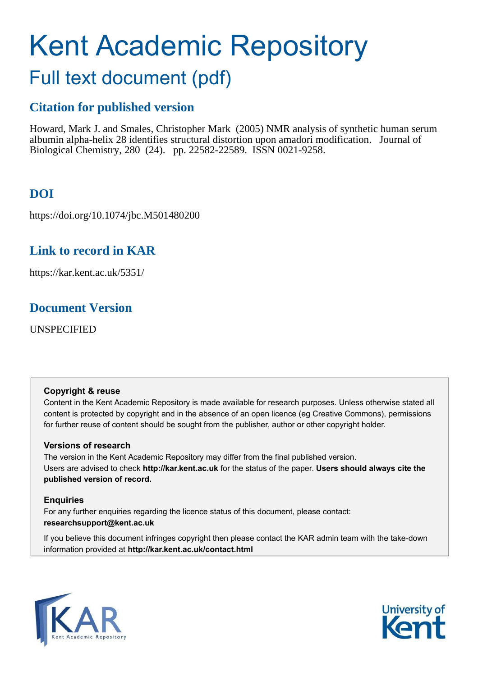# Kent Academic Repository

# Full text document (pdf)

# **Citation for published version**

Howard, Mark J. and Smales, Christopher Mark (2005) NMR analysis of synthetic human serum albumin alpha-helix 28 identifies structural distortion upon amadori modification. Journal of Biological Chemistry, 280 (24). pp. 22582-22589. ISSN 0021-9258.

# **DOI**

https://doi.org/10.1074/jbc.M501480200

# **Link to record in KAR**

https://kar.kent.ac.uk/5351/

# **Document Version**

UNSPECIFIED

## **Copyright & reuse**

Content in the Kent Academic Repository is made available for research purposes. Unless otherwise stated all content is protected by copyright and in the absence of an open licence (eg Creative Commons), permissions for further reuse of content should be sought from the publisher, author or other copyright holder.

## **Versions of research**

The version in the Kent Academic Repository may differ from the final published version. Users are advised to check **http://kar.kent.ac.uk** for the status of the paper. **Users should always cite the published version of record.**

## **Enquiries**

For any further enquiries regarding the licence status of this document, please contact: **researchsupport@kent.ac.uk**

If you believe this document infringes copyright then please contact the KAR admin team with the take-down information provided at **http://kar.kent.ac.uk/contact.html**



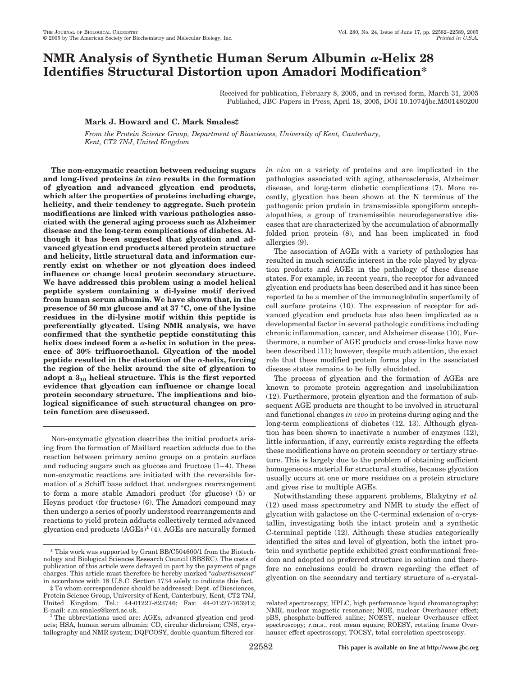## **NMR** Analysis of Synthetic Human Serum Albumin  $\alpha$ -Helix 28 **Identifies Structural Distortion upon Amadori Modification\***

Received for publication, February 8, 2005, and in revised form, March 31, 2005 Published, JBC Papers in Press, April 18, 2005, DOI 10.1074/jbc.M501480200

### **Mark J. Howard and C. Mark Smales‡**

*From the Protein Science Group, Department of Biosciences, University of Kent, Canterbury, Kent, CT2 7NJ, United Kingdom*

**The non-enzymatic reaction between reducing sugars and long-lived proteins** *in vivo* **results in the formation of glycation and advanced glycation end products, which alter the properties of proteins including charge, helicity, and their tendency to aggregate. Such protein modifications are linked with various pathologies associated with the general aging process such as Alzheimer disease and the long-term complications of diabetes. Although it has been suggested that glycation and advanced glycation end products altered protein structure and helicity, little structural data and information currently exist on whether or not glycation does indeed influence or change local protein secondary structure. We have addressed this problem using a model helical peptide system containing a di-lysine motif derived from human serum albumin. We have shown that, in the presence of 50 mM glucose and at 37 °C, one of the lysine residues in the di-lysine motif within this peptide is preferentially glycated. Using NMR analysis, we have confirmed that the synthetic peptide constituting this** helix does indeed form a  $\alpha$ -helix in solution in the pres**ence of 30% trifluoroethanol. Glycation of the model** peptide resulted in the distortion of the  $\alpha$ -helix, forcing **the region of the helix around the site of glycation to adopt a 3<sup>10</sup> helical structure. This is the first reported evidence that glycation can influence or change local protein secondary structure. The implications and biological significance of such structural changes on protein function are discussed.**

Non-enzymatic glycation describes the initial products arising from the formation of Maillard reaction adducts due to the reaction between primary amino groups on a protein surface and reducing sugars such as glucose and fructose (1–4). These non-enzymatic reactions are initiated with the reversible formation of a Schiff base adduct that undergoes rearrangement to form a more stable Amadori product (for glucose) (5) or Heyns product (for fructose) (6). The Amadori compound may then undergo a series of poorly understood rearrangements and reactions to yield protein adducts collectively termed advanced glycation end products  $(AGEs)^{1}(4)$ . AGEs are naturally formed

*in vivo* on a variety of proteins and are implicated in the pathologies associated with aging, atherosclerosis, Alzheimer disease, and long-term diabetic complications (7). More recently, glycation has been shown at the N terminus of the pathogenic prion protein in transmissible spongiform encephalopathies, a group of transmissible neurodegenerative diseases that are characterized by the accumulation of abnormally folded prion protein (8), and has been implicated in food allergies (9).

The association of AGEs with a variety of pathologies has resulted in much scientific interest in the role played by glycation products and AGEs in the pathology of these disease states. For example, in recent years, the receptor for advanced glycation end products has been described and it has since been reported to be a member of the immunoglobulin superfamily of cell surface proteins (10). The expression of receptor for advanced glycation end products has also been implicated as a developmental factor in several pathologic conditions including chronic inflammation, cancer, and Alzheimer disease (10). Furthermore, a number of AGE products and cross-links have now been described (11); however, despite much attention, the exact role that these modified protein forms play in the associated disease states remains to be fully elucidated.

The process of glycation and the formation of AGEs are known to promote protein aggregation and insolubilization (12). Furthermore, protein glycation and the formation of subsequent AGE products are thought to be involved in structural and functional changes *in vivo* in proteins during aging and the long-term complications of diabetes (12, 13). Although glycation has been shown to inactivate a number of enzymes (12), little information, if any, currently exists regarding the effects these modifications have on protein secondary or tertiary structure. This is largely due to the problem of obtaining sufficient homogeneous material for structural studies, because glycation usually occurs at one or more residues on a protein structure and gives rise to multiple AGEs.

Notwithstanding these apparent problems, Blakytny *et al.* (12) used mass spectrometry and NMR to study the effect of glycation with galactose on the C-terminal extension of  $\alpha$ -crystallin, investigating both the intact protein and a synthetic C-terminal peptide (12). Although these studies categorically identified the sites and level of glycation, both the intact protein and synthetic peptide exhibited great conformational freedom and adopted no preferred structure in solution and therefore no conclusions could be drawn regarding the effect of glycation on the secondary and tertiary structure of  $\alpha$  crystal-

<sup>\*</sup> This work was supported by Grant BB/C504600/1 from the Biotechnology and Biological Sciences Research Council (BBSRC). The costs of publication of this article were defrayed in part by the payment of page charges. This article must therefore be hereby marked "*advertisement*" in accordance with 18 U.S.C. Section 1734 solely to indicate this fact.

<sup>‡</sup> To whom correspondence should be addressed: Dept. of Biosciences, Protein Science Group, University of Kent, Canterbury, Kent, CT2 7NJ, United Kingdom. Tel.: 44-01227-823746; Fax: 44-01227-763912; E-mail: c.m.smales@kent.ac.uk.

<sup>1</sup> The abbreviations used are: AGEs, advanced glycation end products; HSA, human serum albumin; CD, circular dichroism; CNS, crystallography and NMR system; DQFCOSY, double-quantum filtered cor-

related spectroscopy; HPLC, high performance liquid chromatography; NMR, nuclear magnetic resonance; NOE, nuclear Overhauser effect; pBS, phosphate-buffered saline; NOESY, nuclear Overhauser effect spectroscopy; r.m.s., root mean square; ROESY, rotating frame Overhauser effect spectroscopy; TOCSY, total correlation spectroscopy.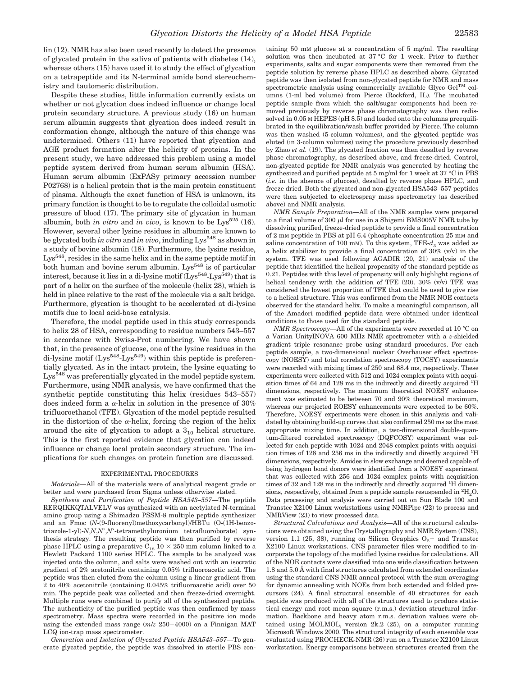lin (12). NMR has also been used recently to detect the presence of glycated protein in the saliva of patients with diabetes (14), whereas others (15) have used it to study the effect of glycation on a tetrapeptide and its N-terminal amide bond stereochemistry and tautomeric distribution.

Despite these studies, little information currently exists on whether or not glycation does indeed influence or change local protein secondary structure. A previous study (16) on human serum albumin suggests that glycation does indeed result in conformation change, although the nature of this change was undetermined. Others (11) have reported that glycation and AGE product formation alter the helicity of proteins. In the present study, we have addressed this problem using a model peptide system derived from human serum albumin (HSA). Human serum albumin (ExPASy primary accession number P02768) is a helical protein that is the main protein constituent of plasma. Although the exact function of HSA is unknown, its primary function is thought to be to regulate the colloidal osmotic pressure of blood (17). The primary site of glycation in human albumin, both *in vitro* and *in vivo*, is known to be  $Lys^{525}$  (16). However, several other lysine residues in albumin are known to be glycated both *in vitro* and *in vivo*, including Lys<sup>548</sup> as shown in a study of bovine albumin (18). Furthermore, the lysine residue, Lys<sup>548</sup>, resides in the same helix and in the same peptide motif in both human and bovine serum albumin. Lys<sup>548</sup> is of particular interest, because it lies in a di-lysine motif  $(Lys^{548} - Lys^{549})$  that is part of a helix on the surface of the molecule (helix 28), which is held in place relative to the rest of the molecule via a salt bridge. Furthermore, glycation is thought to be accelerated at di-lysine motifs due to local acid-base catalysis.

Therefore, the model peptide used in this study corresponds to helix 28 of HSA, corresponding to residue numbers 543–557 in accordance with Swiss-Prot numbering. We have shown that, in the presence of glucose, one of the lysine residues in the di-lysine motif  $(Lys^{548} - Lys^{549})$  within this peptide is preferentially glycated. As in the intact protein, the lysine equating to Lys<sup>548</sup> was preferentially glycated in the model peptide system. Furthermore, using NMR analysis, we have confirmed that the synthetic peptide constituting this helix (residues 543–557) does indeed form a  $\alpha$ -helix in solution in the presence of 30% trifluoroethanol (TFE). Glycation of the model peptide resulted in the distortion of the  $\alpha$ -helix, forcing the region of the helix around the site of glycation to adopt a  $3_{10}$  helical structure. This is the first reported evidence that glycation can indeed influence or change local protein secondary structure. The implications for such changes on protein function are discussed.

#### EXPERIMENTAL PROCEDURES

*Materials—*All of the materials were of analytical reagent grade or better and were purchased from Sigma unless otherwise stated.

*Synthesis and Purification of Peptide HSA543–557—*The peptide RERQIKKQTALVELV was synthesized with an acetylated N-terminal amino group using a Shimadzu PSSM-8 multiple peptide synthesizer and an Fmoc (*N*-(9-fluorenyl)methoxycarbonyl)/HBTu (O-(1H-benzotriazole-1-yl)-*N*,*N*,*N*,*N*-tetramethyluronium tetrafluoroborate) synthesis strategy. The resulting peptide was then purified by reverse phase HPLC using a preparative  $\rm C_{18}$   $10 \times 250$  mm column linked to a Hewlett Packard 1100 series HPLC. The sample to be analyzed was injected onto the column, and salts were washed out with an isocratic gradient of 2% acetonitrile containing 0.05% trifluoroacetic acid. The peptide was then eluted from the column using a linear gradient from 2 to 40% acetonitrile (containing 0.045% trifluoroacetic acid) over 50 min. The peptide peak was collected and then freeze-dried overnight. Multiple runs were combined to purify all of the synthesized peptide. The authenticity of the purified peptide was then confirmed by mass spectrometry. Mass spectra were recorded in the positive ion mode using the extended mass range (*m*/*z* 250–4000) on a Finnigan MAT LCQ ion-trap mass spectrometer.

*Generation and Isolation of Glycated Peptide HSA543–557—*To generate glycated peptide, the peptide was dissolved in sterile PBS containing 50 mM glucose at a concentration of 5 mg/ml. The resulting solution was then incubated at 37 °C for 1 week. Prior to further experiments, salts and sugar components were then removed from the peptide solution by reverse phase HPLC as described above. Glycated peptide was then isolated from non-glycated peptide for NMR and mass spectrometric analysis using commercially available Glyco Gel<sup>TM</sup> columns (1-ml bed volume) from Pierce (Rockford, IL). The incubated peptide sample from which the salt/sugar components had been removed previously by reverse phase chromatography was then redissolved in 0.05 M HEPES (pH 8.5) and loaded onto the columns preequilibrated in the equilibration/wash buffer provided by Pierce. The column was then washed (5-column volumes), and the glycated peptide was eluted (in 3-column volumes) using the procedure previously described by Zhao *et al.* (19). The glycated fraction was then desalted by reverse phase chromatography, as described above, and freeze-dried. Control, non-glycated peptide for NMR analysis was generated by heating the synthesized and purified peptide at 5 mg/ml for 1 week at 37 °C in PBS (*i.e.* in the absence of glucose), desalted by reverse phase HPLC, and freeze dried. Both the glycated and non-glycated HSA543–557 peptides were then subjected to electrospray mass spectrometry (as described above) and NMR analysis.

*NMR Sample Preparation—*All of the NMR samples were prepared to a final volume of 300  $\mu$ l for use in a Shigemi BMS005V NMR tube by dissolving purified, freeze-dried peptide to provide a final concentration of 2 mM peptide in PBS at pH 6.4 (phosphate concentration 25 mM and saline concentration of 100 mM). To this system,  $TFE-d_3$  was added as a helix stabilizer to provide a final concentration of  $30\%$  (v/v) in the system. TFE was used following AGADIR (20, 21) analysis of the peptide that identified the helical propensity of the standard peptide as 0.21. Peptides with this level of propensity will only highlight regions of helical tendency with the addition of TFE  $(20)$ .  $30\%$   $(v/v)$  TFE was considered the lowest proportion of TFE that could be used to give rise to a helical structure. This was confirmed from the NMR NOE contacts observed for the standard helix. To make a meaningful comparison, all of the Amadori modified peptide data were obtained under identical conditions to those used for the standard peptide.

*NMR Spectroscopy—*All of the experiments were recorded at 10 °C on a Varian UnityINOVA 600 MHz NMR spectrometer with a *z*-shielded gradient triple resonance probe using standard procedures. For each peptide sample, a two-dimensional nuclear Overhauser effect spectroscopy (NOESY) and total correlation spectroscopy (TOCSY) experiments were recorded with mixing times of 250 and 68.4 ms, respectively. These experiments were collected with 512 and 1024 complex points with acquisition times of 64 and 128 ms in the indirectly and directly acquired <sup>1</sup>H dimensions, respectively. The maximum theoretical NOESY enhancement was estimated to be between 70 and 90% theoretical maximum, whereas our projected ROESY enhancements were expected to be 60%. Therefore, NOESY experiments were chosen in this analysis and validated by obtaining build-up curves that also confirmed 250 ms as the most appropriate mixing time. In addition, a two-dimensional double-quantum-filtered correlated spectroscopy (DQFCOSY) experiment was collected for each peptide with 1024 and 2048 complex points with acquisition times of 128 and 256 ms in the indirectly and directly acquired <sup>1</sup>H dimensions, respectively. Amides in slow exchange and deemed capable of being hydrogen bond donors were identified from a NOESY experiment that was collected with 256 and 1024 complex points with acquisition times of 32 and 128 ms in the indirectly and directly acquired <sup>1</sup>H dimensions, respectively, obtained from a peptide sample resuspended in  ${}^{2}H_{2}O$ . Data processing and analysis were carried out on Sun Blade 100 and Transtec X2100 Linux workstations using NMRPipe (22) to process and NMRView (23) to view processed data.

*Structural Calculations and Analysis—*All of the structural calculations were obtained using the Crystallography and NMR System (CNS), version 1.1 (25, 38), running on Silicon Graphics  $O<sub>2</sub>$  and Transtec X2100 Linux workstations. CNS parameter files were modified to incorporate the topology of the modified lysine residue for calculations. All of the NOE contacts were classified into one wide classification between 1.8 and 5.0 Å with final structures calculated from extended coordinates using the standard CNS NMR anneal protocol with the sum averaging for dynamic annealing with NOEs from both extended and folded precursors (24). A final structural ensemble of 40 structures for each peptide was produced with all of the structures used to produce statistical energy and root mean square (r.m.s.) deviation structural information. Backbone and heavy atom r.m.s. deviation values were obtained using MOLMOL, version 2k.2 (25), on a computer running Microsoft Windows 2000. The structural integrity of each ensemble was evaluated using PROCHECK-NMR (26) run on a Transtec X2100 Linux workstation. Energy comparisons between structures created from the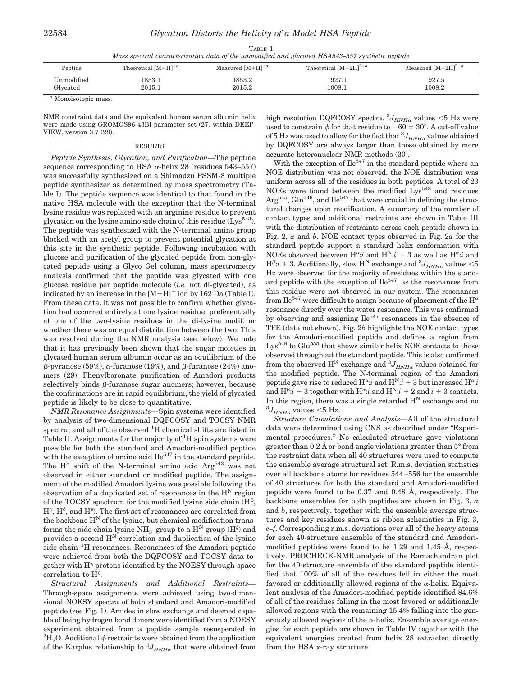| TABLE I                                                                                         |  |
|-------------------------------------------------------------------------------------------------|--|
| Mass spectral characterization data of the unmodified and glycated HSA543–557 synthetic peptide |  |

| Peptide    | Theoretical $[M+H]^{+a}$ | Measured $[M+H]^{+a}$ | Theoretical $[M+2H]^{2+a}$ | Measured $[M+2H]^{2+a}$ |
|------------|--------------------------|-----------------------|----------------------------|-------------------------|
| Unmodified | 1853.1                   | 1853.2                | 927.1                      | 927.5                   |
| Glycated   | 2015.1                   | 2015.2                | 1008.1                     | 1008.2                  |

*<sup>a</sup>* Monoisotopic mass.

NMR constraint data and the equivalent human serum albumin helix were made using GROMOS96 43Bl parameter set (27) within DEEP-VIEW, version 3.7 (28).

#### RESULTS

*Peptide Synthesis, Glycation, and Purification—*The peptide sequence corresponding to HSA  $\alpha$ -helix 28 (residues 543–557) was successfully synthesized on a Shimadzu PSSM-8 multiple peptide synthesizer as determined by mass spectrometry (Table I). The peptide sequence was identical to that found in the native HSA molecule with the exception that the N-terminal lysine residue was replaced with an arginine residue to prevent glycation on the lysine amino side chain of this residue  $(Lys^{543})$ . The peptide was synthesized with the N-terminal amino group blocked with an acetyl group to prevent potential glycation at this site in the synthetic peptide. Following incubation with glucose and purification of the glycated peptide from non-glycated peptide using a Glyco Gel column, mass spectrometry analysis confirmed that the peptide was glycated with one glucose residue per peptide molecule (*i.e.* not di-glycated), as indicated by an increase in the  $[M+H]$ <sup>+</sup> ion by 162 Da (Table I). From these data, it was not possible to confirm whether glycation had occurred entirely at one lysine residue, preferentially at one of the two-lysine residues in the di-lysine motif, or whether there was an equal distribution between the two. This was resolved during the NMR analysis (see below). We note that it has previously been shown that the sugar moieties in glycated human serum albumin occur as an equilibrium of the  $\beta$ -pyranose (59%),  $\alpha$ -furanose (19%), and  $\beta$ -furanose (24%) anomers (29). Phenylboronate purification of Amadori products selectively binds  $\beta$ -furanose sugar anomers; however, because the confirmations are in rapid equilibrium, the yield of glycated peptide is likely to be close to quantitative.

*NMR Resonance Assignments—*Spin systems were identified by analysis of two-dimensional DQFCOSY and TOCSY NMR spectra, and all of the observed <sup>1</sup>H chemical shifts are listed in Table II. Assignments for the majority of <sup>1</sup>H spin systems were possible for both the standard and Amadori-modified peptide with the exception of amino acid  $\text{He}^{547}$  in the standard peptide. The  $H^{\alpha}$  shift of the N-terminal amino acid Arg<sup>543</sup> was not observed in either standard or modified peptide. The assignment of the modified Amadori lysine was possible following the observation of a duplicated set of resonances in the  $H<sup>N</sup>$  region of the TOCSY spectrum for the modified lysine side chain  $(H^{\beta},$  $H^{\gamma}$ ,  $H^{\delta}$ , and  $H^{\epsilon}$ ). The first set of resonances are correlated from the backbone  $H^N$  of the lysine, but chemical modification transforms the side chain lysine  $\mathrm{NH}_3^+$  group to a  $\mathrm{H}^\mathrm{N}$  group  $(\mathrm{H}^\zeta)$  and provides a second  $H^N$  correlation and duplication of the lysine side chain <sup>1</sup>H resonances. Resonances of the Amadori peptide were achieved from both the DQFCOSY and TOCSY data together with H<sup>n</sup> protons identified by the NOESY through-space correlation to H .

*Structural Assignments and Additional Restraints—* Through-space assignments were achieved using two-dimensional NOESY spectra of both standard and Amadori-modified peptide (see Fig. 1). Amides in slow exchange and deemed capable of being hydrogen bond donors were identified from a NOESY experiment obtained from a peptide sample resuspended in  ${}^{2}H_{2}O$ . Additional  $\phi$  restraints were obtained from the application of the Karplus relationship to  ${}^{3}J_{HNH\alpha}$  that were obtained from high resolution DQFCOSY spectra.  ${}^{3}J_{HNH\alpha}$  values <5 Hz were used to constrain  $\phi$  for that residue to  $-60 \pm 30^{\circ}$ . A cut-off value of 5 Hz was used to allow for the fact that  ${}^{3}J_{HNH}$ <sub>a</sub> values obtained by DQFCOSY are always larger than those obtained by more accurate heteronuclear NMR methods (30).

With the exception of  $\text{Ile}^{547}$  in the standard peptide where an NOE distribution was not observed, the NOE distribution was uniform across all of the residues in both peptides. A total of 23 NOEs were found between the modified Lys<sup>548</sup> and residues  $Arg<sup>545</sup>$ , Gln<sup>546</sup>, and  $Ile<sup>547</sup>$  that were crucial in defining the structural changes upon modification. A summary of the number of contact types and additional restraints are shown in Table III with the distribution of restraints across each peptide shown in Fig. 2, *a* and *b*. NOE contact types observed in Fig. 2*a* for the standard peptide support a standard helix conformation with NOEs observed between  $H^{\alpha}$ :*i* and  $H^{N}$ :*i* + 3 as well as  $H^{\alpha}$ :*i* and  $\mathrm{H}^{\beta}:i+3.$  Additionally, slow  $\mathrm{H}^{\mathrm{N}}$  exchange and  $^{3}J_{HNH\alpha}$  values  $<\!5$ Hz were observed for the majority of residues within the standard peptide with the exception of  $\text{He}^{547}$ , as the resonances from this residue were not observed in our system. The resonances from Ile<sup>547</sup> were difficult to assign because of placement of the H<sup> $\alpha$ </sup> resonance directly over the water resonance. This was confirmed by observing and assigning  $\text{Ile}^{547}$  resonances in the absence of TFE (data not shown). Fig. 2*b* highlights the NOE contact types for the Amadori-modified peptide and defines a region from Lys<sup>549</sup> to Glu<sup>555</sup> that shows similar helix NOE contacts to those observed throughout the standard peptide. This is also confirmed from the observed  $H^N$  exchange and  ${}^3J_{HNH\alpha}$  values obtained for the modified peptide. The N-terminal region of the Amadori peptide gave rise to reduced  $H^{\alpha}$ :*i* and  $H^{N}$ :*i* + 3 but increased  $H^{\alpha}$ :*i* and  $H^{\beta}$ :*i* + 3 together with  $H^{\alpha}$ :*i* and  $H^{N}$ :*i* + 2 and *i* + 3 contacts. In this region, there was a single retarded  $H<sup>N</sup>$  exchange and no  $^{3}J_{HNH\alpha}$  values  $<$ 5 Hz.

*Structure Calculations and Analysis—*All of the structural data were determined using CNS as described under "Experimental procedures." No calculated structure gave violations greater than  $0.2 \text{ Å}$  or bond angle violations greater than  $5^{\circ}$  from the restraint data when all 40 structures were used to compute the ensemble average structural set. R.m.s. deviation statistics over all backbone atoms for residues 544–556 for the ensemble of 40 structures for both the standard and Amadori-modified peptide were found to be 0.37 and 0.48 Å, respectively. The backbone ensembles for both peptides are shown in Fig. 3, *a* and *b*, respectively, together with the ensemble average structures and key residues shown as ribbon schematics in Fig. 3, *c–f*. Corresponding r.m.s. deviations over all of the heavy atoms for each 40-structure ensemble of the standard and Amadorimodified peptides were found to be 1.29 and 1.45 Å, respectively. PROCHECK-NMR analysis of the Ramachandran plot for the 40-structure ensemble of the standard peptide identified that 100% of all of the residues fell in either the most favored or additionally allowed regions of the  $\alpha$ -helix. Equivalent analysis of the Amadori-modified peptide identified 84.6% of all of the residues falling in the most favored or additionally allowed regions with the remaining 15.4% falling into the generously allowed regions of the  $\alpha$ -helix. Ensemble average energies for each peptide are shown in Table IV together with the equivalent energies created from helix 28 extracted directly from the HSA x-ray structure.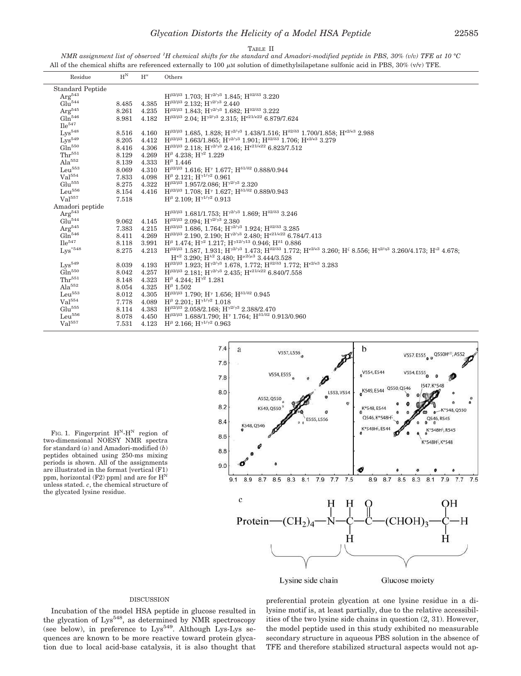*NMR assignment list of observed <sup>1</sup>H chemical shifts for the standard and Amadori-modified peptide in PBS, 30% (v*/*v) TFE at 10 °C* All of the chemical shifts are referenced externally to 100  $\mu$ m solution of dimethylsilapetane sulfonic acid in PBS, 30% (v/v) TFE.

| Residue                 | $H^N$ | $\mathbf{H}^\alpha$ | Others                                                                                                                                                                                                           |
|-------------------------|-------|---------------------|------------------------------------------------------------------------------------------------------------------------------------------------------------------------------------------------------------------|
| <b>Standard Peptide</b> |       |                     |                                                                                                                                                                                                                  |
| Arg <sup>543</sup>      |       |                     | $H^{\beta2/\beta3}$ 1.703: $H^{\gamma2/\gamma3}$ 1.845: $H^{\delta2/\delta3}$ 3.220                                                                                                                              |
| Glu <sup>544</sup>      | 8.485 | 4.385               | $H^{\beta2/\beta3}$ 2.132: $H^{\gamma2/\gamma3}$ 2.440                                                                                                                                                           |
| $\rm Arg^{545}$         | 8.261 | 4.235               | $H^{\beta2/\beta3}$ 1.843; $H^{\gamma2/\gamma3}$ 1.682; $H^{\delta2/\delta3}$ 3.222                                                                                                                              |
| Gln <sup>546</sup>      | 8.981 | 4.182               | $H^{\beta2/\beta3}$ 2.04; $H^{\gamma2/\gamma3}$ 2.315; $H^{\epsilon21/\epsilon22}$ 6.879/7.624                                                                                                                   |
| $\text{He}^{547}$       |       |                     |                                                                                                                                                                                                                  |
| $Lys^{548}$             | 8.516 | 4.160               | $H^{\beta2/\beta3}$ 1.685, 1.828; $H^{\gamma2/\gamma3}$ 1.438/1.516; $H^{\delta2/\delta3}$ 1.700/1.858; $H^{\epsilon2/\epsilon3}$ 2.988                                                                          |
| $Lys^{549}$             | 8.205 | 4.412               | $H^{\beta2/\beta3}$ 1.663/1.865: $H^{\gamma2/\gamma3}$ 1.901: $H^{\delta2/\delta3}$ 1.706: $H^{\epsilon2/\epsilon3}$ 3.279                                                                                       |
| Gln <sup>550</sup>      | 8.416 | 4.306               | $H^{\beta2/\beta3}$ 2.118; $H^{\gamma2/\gamma3}$ 2.416; $H^{\epsilon21/\epsilon22}$ 6.823/7.512                                                                                                                  |
| $Thr^{551}$             | 8.129 | 4.269               | $H^{\beta}$ 4.238; $H^{\gamma2}$ 1.229                                                                                                                                                                           |
| $Ala^{552}$             | 8.139 | 4.333               | $H^{\beta}$ 1.446                                                                                                                                                                                                |
| Leu <sup>553</sup>      | 8.069 | 4.310               | $H^{\beta2/\beta3}$ 1.616; H <sup><math>\gamma</math></sup> 1.677; H <sup><math>\delta1/\delta2</math></sup> 0.888/0.944                                                                                         |
| Val <sup>554</sup>      | 7.833 | 4.098               | $H^{\beta}$ 2.121; $H^{\gamma 1/\gamma 2}$ 0.961                                                                                                                                                                 |
| Glu <sup>555</sup>      | 8.275 | 4.322               | $H^{\beta2/\beta3}$ 1.957/2.086: $H^{\gamma2/\gamma3}$ 2.320                                                                                                                                                     |
| Leu <sup>556</sup>      | 8.154 | 4.416               | $H^{\beta2/\beta3}$ 1.708; $H^{\gamma}$ 1.627; $H^{\delta1/\delta2}$ 0.889/0.943                                                                                                                                 |
| Val <sup>557</sup>      | 7.518 |                     | $H^{\beta}$ 2.109: $H^{\gamma 1/\gamma 2}$ 0.913                                                                                                                                                                 |
| Amadori peptide         |       |                     |                                                                                                                                                                                                                  |
| Arg <sup>543</sup>      |       |                     | $H^{\beta2/\beta3}$ 1.681/1.753: $H^{\gamma2/\gamma3}$ 1.869: $H^{\delta2/\delta3}$ 3.246                                                                                                                        |
| Glu <sup>544</sup>      | 9.062 | 4.145               | $H^{\beta2/\beta3}$ 2.094: $H^{\gamma2/\gamma3}$ 2.380                                                                                                                                                           |
| $\rm Arg^{545}$         | 7.383 | 4.215               | $H^{\beta2/\beta3}$ 1.686, 1.764; $H^{\gamma2/\gamma3}$ 1.924; $H^{\delta2/\delta3}$ 3.285                                                                                                                       |
| Gln <sup>546</sup>      | 8.411 | 4.269               | $H^{\beta2/\beta3}$ 2.190, 2.190; $H^{\gamma2/\gamma3}$ 2.480; $H^{\epsilon21/\epsilon22}$ 6.784/7.413                                                                                                           |
| $\text{He}^{547}$       | 8.118 | 3.991               | $H^{\beta}$ 1.474; $H^{\gamma 2}$ 1.217; $H^{\gamma 12/\gamma 13}$ 0.946; $H^{\delta 1}$ 0.886                                                                                                                   |
| $Lys^{\ast 548}$        | 8.275 | 4.213               | $H^{\beta 2/\beta 3}$ 1.587, 1.931; $H^{\gamma 2/\gamma 3}$ 1.473; $H^{\delta 2/\delta 3}$ 1.772; $H^{\epsilon 2/\epsilon 3}$ 3.260; $H^{\epsilon}$ 8.556; $H^{\eta 2/\eta 3}$ 3.260/4.173; $H^{\iota 2}$ 4.678; |
|                         |       |                     | $H^{\kappa2}$ 3.290; $H^{\lambda2}$ 3.480; $H^{\mu2/\mu3}$ 3.444/3.528                                                                                                                                           |
| $Lvs^{549}$             | 8.039 | 4.193               | $H^{\beta2/\beta3}$ 1.923; $H^{\gamma2/\gamma3}$ 1.678, 1.772; $H^{\delta2/\delta3}$ 1.772; $H^{\epsilon2/\epsilon3}$ 3.283                                                                                      |
| Gln <sup>550</sup>      | 8.042 | 4.257               | $H^{\beta2/\beta3}$ 2.181; $H^{\gamma2/\gamma3}$ 2.435; $H^{\epsilon21/\epsilon22}$ 6.840/7.558                                                                                                                  |
| $Thr^{551}$             | 8.148 | 4.323               | $H^{\beta}$ 4.244; $H^{\gamma2}$ 1.281                                                                                                                                                                           |
| Ala <sup>552</sup>      | 8.054 | 4.325               | $H^{\beta}$ 1.502                                                                                                                                                                                                |
| Leu <sup>553</sup>      | 8.012 | 4.305               | $H^{\beta 2/\beta 3}$ 1.790; $H^{\gamma}$ 1.656; $H^{\delta 1/\delta 2}$ 0.945                                                                                                                                   |
| Val <sup>554</sup>      | 7.778 | 4.089               | $H^{\beta}$ 2.201: $H^{\gamma 1/\gamma 2}$ 1.018                                                                                                                                                                 |
| Glu <sup>555</sup>      | 8.114 | 4.383               | $H^{\beta2/\beta3}$ 2.058/2.168; $H^{\gamma2/\gamma3}$ 2.388/2.470                                                                                                                                               |
| Leu <sup>556</sup>      | 8.078 | 4.450               | $H^{\beta2/\beta3}$ 1.688/1.790; H <sup>y</sup> 1.764; H <sup><math>\delta1/\delta2</math></sup> 0.913/0.960                                                                                                     |
| Val <sup>557</sup>      | 7.531 | 4.123               | $H^{\beta}$ 2.166; $H^{\gamma 1/\gamma 2}$ 0.963                                                                                                                                                                 |
|                         |       |                     |                                                                                                                                                                                                                  |

 $7.4$ b a V557, L556 V557, E555 0 Q550H<sup>22</sup>, A552  $7.6$ V554, E544 V554, E555 V554, E555  $78$ **F548** Q550, K549, E544 8.0 L553. V55 A552, Q550  $^{\circ}$ 8.2 K549, Q550 K\*548, E544 K\*548.0550  $\theta$ Q546, K\*548H Q546, R545 E555, L556  $8.4$ K548 O546 (\*548H5, Es K\*548H5, R545 8.6 548H<sup>5</sup>, K\*548 8.8  $9<sub>c</sub>$ 8.5 8.3 8.1 7.9  $7.7$  $9.1$ 8.9 8.7  $7.5$ 8.9 8.7 8.5 8.3  $8.1$ 7.9  $7.7$ 7.5  $\overline{c}$ OН Protein- $\cdot$  (CH<sub>2</sub> CHOH) Н Ĥ

Lysine side chain

Glucose moiety

FIG. 1. Fingerprint  $H<sup>N</sup>-H<sup>N</sup>$  region of two-dimensional NOESY NMR spectra for standard (*a*) and Amadori-modified (*b*) peptides obtained using 250-ms mixing periods is shown. All of the assignments are illustrated in the format [vertical (F1) ppm, horizontal (F2) ppm] and are for  $H^N$ unless stated. *c*, the chemical structure of the glycated lysine residue.

#### DISCUSSION

Incubation of the model HSA peptide in glucose resulted in the glycation of Lys<sup>548</sup>, as determined by NMR spectroscopy (see below), in preference to  $Lys^{549}$ . Although Lys-Lys sequences are known to be more reactive toward protein glycation due to local acid-base catalysis, it is also thought that preferential protein glycation at one lysine residue in a dilysine motif is, at least partially, due to the relative accessibilities of the two lysine side chains in question (2, 31). However, the model peptide used in this study exhibited no measurable secondary structure in aqueous PBS solution in the absence of TFE and therefore stabilized structural aspects would not ap-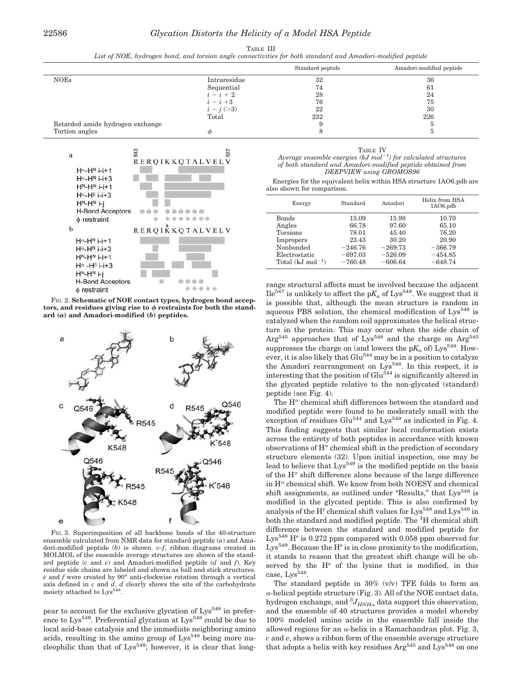|--|--|

*List of NOE, hydrogen bond, and torsion angle connectivities for both standard and Amadori-modified peptide*

|                                  |              | Standard peptide | Amadori-modified peptide |
|----------------------------------|--------------|------------------|--------------------------|
| <b>NOEs</b>                      | Intraresidue | 32               | 36                       |
|                                  | Sequential   | 74               | 61                       |
|                                  | $i-i+2$      | 28               | 24                       |
|                                  | $i-i+3$      | 76               | 75                       |
|                                  | $i - j (>3)$ | 22               | 30                       |
|                                  | Total        | 232              | 226                      |
| Retarded amide hydrogen exchange |              |                  |                          |
| Tortion angles                   | Φ            |                  |                          |



FIG. 2. **Schematic of NOE contact types, hydrogen bond accep**tors, and residues giving rise to  $\phi$  restraints for both the stand**ard (***a***) and Amadori-modified (***b***) peptides.**



FIG. 3. Superimposition of all backbone bonds of the 40-structure ensemble calculated from NMR data for standard peptide (*a*) and Amadori-modified peptide (*b*) is shown. *c–f*, ribbon diagrams created in MOLMOL of the ensemble average structures are shown of the standard peptide (*c* and *e*) and Amadori-modified peptide (*d* and *f*). Key residue side chains are labeled and shown as ball and stick structures. *e* and *f* were created by 90° anti-clockwise rotation through a vertical axis defined in *c* and *d*. *d* clearly shows the site of the carbohydrate moiety attached to Lys<sup>548</sup>.

pear to account for the exclusive glycation of Lys<sup>548</sup> in preference to Lys<sup>549</sup>. Preferential glycation at Lys<sup>548</sup> could be due to local acid-base catalysis and the immediate neighboring amino acids, resulting in the amino group of  $Lys^{548}$  being more nucleophilic than that of  $Lys^{549}$ ; however, it is clear that long-

| и |  |
|---|--|
|   |  |

| Average ensemble energies (kJ mol <sup><math>-1</math></sup> ) for calculated structures |
|------------------------------------------------------------------------------------------|
| of both standard and Amadori-modified peptide obtained from                              |
| DEEPVIEW using GROMOS96                                                                  |

Energies for the equivalent helix within HSA structure 1AO6.pdb are also shown for comparison.

| Energy                        | Standard  | Amadori   | Helix from HSA<br>$1A06$ .pdb |
|-------------------------------|-----------|-----------|-------------------------------|
| <b>Bonds</b>                  | 15.09     | 15.98     | 10.70                         |
| Angles                        | 66.78     | 97.60     | 65.10                         |
| Torsions                      | 78.01     | 45.40     | 76.20                         |
| Impropers                     | 23.43     | 30.20     | 20.90                         |
| Nonbonded                     | $-246.76$ | $-269.73$ | $-366.79$                     |
| Electrostatic                 | $-697.03$ | $-526.09$ | $-454.85$                     |
| Total $(kJ \text{ mol}^{-1})$ | $-760.48$ | $-606.64$ | $-648.74$                     |
|                               |           |           |                               |

range structural affects must be involved because the adjacent  $\text{I} \text{I} \text{e}^{547}$  is unlikely to affect the  $pK_a$  of  $\text{Lys}^{548}$ . We suggest that it is possible that, although the mean structure is random in aqueous PBS solution, the chemical modification of Lys<sup>548</sup> is catalyzed when the random coil approximates the helical structure in the protein. This may occur when the side chain of  $Arg<sup>545</sup>$  approaches that of  $Lys<sup>548</sup>$  and the charge on  $Arg<sup>545</sup>$ suppresses the charge on (and lowers the  $pK_a$  of) Lys<sup>548</sup>. However, it is also likely that  $Glu<sup>544</sup>$  may be in a position to catalyze the Amadori rearrangement on  $Lys^{548}$ . In this respect, it is interesting that the position of  $Glu<sup>544</sup>$  is significantly altered in the glycated peptide relative to the non-glycated (standard) peptide (see Fig. 4).

The  $\mathbf{H}^{\alpha}$  chemical shift differences between the standard and modified peptide were found to be moderately small with the exception of residues Glu<sup>544</sup> and Lys<sup>549</sup> as indicated in Fig. 4. This finding suggests that similar local conformation exists across the entirety of both peptides in accordance with known observations of  $H^{\alpha}$  chemical shift in the prediction of secondary structure elements (32). Upon initial inspection, one may be lead to believe that  $Lys^{549}$  is the modified peptide on the basis of the  $H^{\alpha}$  shift difference alone because of the large difference in  $\mathrm{H}^\alpha$  chemical shift. We know from both NOESY and chemical shift assignments, as outlined under "Results," that Lys<sup>548</sup> is modified in the glycated peptide. This is also confirmed by analysis of the H<sup> $\epsilon$ </sup> chemical shift values for Lys<sup>548</sup> and Lys<sup>549</sup> in both the standard and modified peptide. The <sup>1</sup>H chemical shift difference between the standard and modified peptide for Lys<sup>548</sup> H<sup> $\epsilon$ </sup> is 0.272 ppm compared with 0.058 ppm observed for Lys<sup>549</sup>. Because the H<sup> $\epsilon$ </sup> is in close proximity to the modification, it stands to reason that the greatest shift change will be observed by the  $H^{\epsilon}$  of the lysine that is modified, in this case, Lys<sup>548</sup>.

The standard peptide in  $30\%$  (v/v) TFE folds to form an  $\alpha$ -helical peptide structure (Fig. 3). All of the NOE contact data, hydrogen exchange, and  ${}^{3}J_{HNH\alpha}$  data support this observation, and the ensemble of 40 structures provides a model whereby 100% modeled amino acids in the ensemble fall inside the allowed regions for an  $\alpha$ -helix in a Ramachandran plot. Fig. 3, *c* and *e*, shows a ribbon form of the ensemble average structure that adopts a helix with key residues  $Arg<sup>545</sup>$  and  $Lys<sup>548</sup>$  on one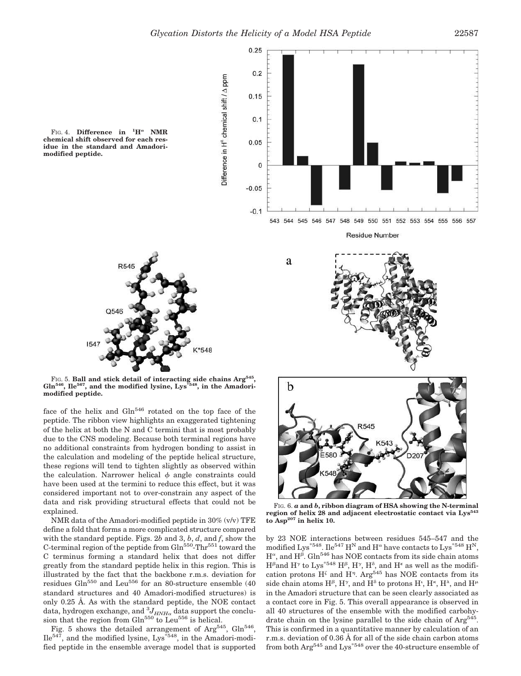

FIG. 4. **Difference** in  ${}^{1}\text{H}^{\alpha}$  **NMR chemical shift observed for each residue in the standard and Amadorimodified peptide.**



FIG. 5. **Ball and stick detail of interacting side chains Arg<sup>545</sup> , Gln546, Ile567, and the modified lysine, Lys\*548, in the Amadorimodified peptide.**

face of the helix and Gln<sup>546</sup> rotated on the top face of the peptide. The ribbon view highlights an exaggerated tightening of the helix at both the N and C termini that is most probably due to the CNS modeling. Because both terminal regions have no additional constraints from hydrogen bonding to assist in the calculation and modeling of the peptide helical structure, these regions will tend to tighten slightly as observed within the calculation. Narrower helical  $\phi$  angle constraints could have been used at the termini to reduce this effect, but it was considered important not to over-constrain any aspect of the data and risk providing structural effects that could not be explained.

NMR data of the Amadori-modified peptide in 30% (v/v) TFE define a fold that forms a more complicated structure compared with the standard peptide. Figs. 2*b* and 3, *b*, *d*, and *f*, show the C-terminal region of the peptide from  $G\ln^{550}$ -Thr<sup>551</sup> toward the C terminus forming a standard helix that does not differ greatly from the standard peptide helix in this region. This is illustrated by the fact that the backbone r.m.s. deviation for residues Gln<sup>550</sup> and Leu<sup>556</sup> for an 80-structure ensemble  $(40)$ standard structures and 40 Amadori-modified structures) is only 0.25 Å. As with the standard peptide, the NOE contact data, hydrogen exchange, and  $^{3}J_{HNH\alpha}$  data support the conclusion that the region from  $Gln<sup>550</sup>$  to Leu<sup>556</sup> is helical.

Fig. 5 shows the detailed arrangement of Arg<sup>545</sup>,  $Gln<sup>546</sup>$ ,  $Ile<sup>547</sup>$ , and the modified lysine, Lys<sup> $*548$ </sup>, in the Amadori-modified peptide in the ensemble average model that is supported



region of helix 28 and adjacent electrostatic contact via Lys<sup>5</sup> **to Asp<sup>207</sup> in helix 10.**

by 23 NOE interactions between residues 545–547 and the modified Lys<sup>\*548</sup>. Ile<sup>547</sup> H<sup>N</sup> and H<sup> $\alpha$ </sup> have contacts to Lys<sup>\*548</sup> H<sup>N</sup>,  $H^{\alpha}$ , and  $H^{\beta}$ . Gln<sup>546</sup> has NOE contacts from its side chain atoms  $H^{\beta}$  and  $H^{\gamma}$  to Lys<sup>\*548</sup>  $H^{\beta}$ ,  $H^{\gamma}$ ,  $H^{\delta}$ , and  $H^{\epsilon}$  as well as the modification protons  $H^{\zeta}$  and  $H^{\eta}$ . Arg<sup>545</sup> has NOE contacts from its side chain atoms  $H^{\beta}$ ,  $H^{\gamma}$ , and  $H^{\delta}$  to protons  $H^{\iota}$ ,  $H^{\kappa}$ ,  $H^{\lambda}$ , and  $H^{\mu}$ in the Amadori structure that can be seen clearly associated as a contact core in Fig. 5. This overall appearance is observed in all 40 structures of the ensemble with the modified carbohydrate chain on the lysine parallel to the side chain of Arg<sup>545</sup>. This is confirmed in a quantitative manner by calculation of an r.m.s. deviation of 0.36 Å for all of the side chain carbon atoms from both  $\text{Arg}^{545}$  and  $\text{Lys}^{*548}$  over the 40-structure ensemble of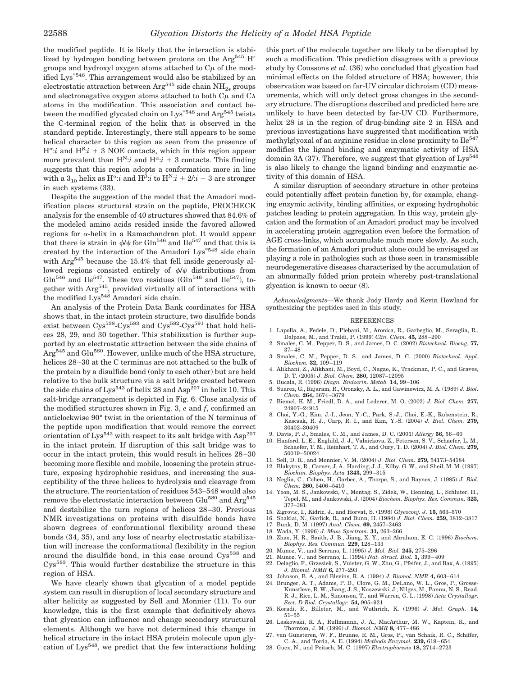the modified peptide. It is likely that the interaction is stabilized by hydrogen bonding between protons on the Arg<sup>545</sup> H<sup> $\epsilon$ </sup> groups and hydroxyl oxygen atoms attached to  $C\mu$  of the modified Lys<sup>\*548</sup>. This arrangement would also be stabilized by an electrostatic attraction between Arg<sup>545</sup> side chain NH<sub>2 $\epsilon$ </sub> groups and electronegative oxygen atoms attached to both  $C_{\mu}$  and  $C_{\lambda}$ atoms in the modification. This association and contact between the modified glycated chain on  $Lys^{*548}$  and  $Arg^{545}$  twists the C-terminal region of the helix that is observed in the standard peptide. Interestingly, there still appears to be some helical character to this region as seen from the presence of  $H^{\alpha}$ :*i* and  $H^{\beta}$ :*i* + 3 NOE contacts, which in this region appear more prevalent than  $H^{N}:i$  and  $H^{\alpha}:i+3$  contacts. This finding suggests that this region adopts a conformation more in line with a  $3_{10}$  helix as  $H^{\alpha}$ :*i* and  $H^{\beta}$ :*i* to  $H^N$ :*i* + 2/:*i* + 3 are stronger in such systems (33).

Despite the suggestion of the model that the Amadori modification places structural strain on the peptide, PROCHECK analysis for the ensemble of 40 structures showed that 84.6% of the modeled amino acids resided inside the favored allowed regions for  $\alpha$ -helix in a Ramachandran plot. It would appear that there is strain in  $\phi/\psi$  for Gln<sup>546</sup> and Ile<sup>547</sup> and that this is created by the interaction of the Amadori Lys\*548 side chain with  $\text{Arg}^{545}$  because the 15.4% that fell inside generously allowed regions consisted entirely of  $\phi/\psi$  distributions from  $Gln<sup>546</sup>$  and Ile<sup>547</sup>. These two residues ( $Gln<sup>546</sup>$  and Ile<sup>547</sup>), together with Arg<sup>545</sup>, provided virtually all of interactions with the modified Lys<sup>548</sup> Amadori side chain.

An analysis of the Protein Data Bank coordinates for HSA shows that, in the intact protein structure, two disulfide bonds exist between Cys<sup>538</sup>-Cys<sup>583</sup> and Cys<sup>582</sup>-Cys<sup>591</sup> that hold helices 28, 29, and 30 together. This stabilization is further supported by an electrostatic attraction between the side chains of Arg<sup>545</sup> and Glu<sup>580</sup>. However, unlike much of the HSA structure, helices 28–30 at the C terminus are not attached to the bulk of the protein by a disulfide bond (only to each other) but are held relative to the bulk structure via a salt bridge created between the side chains of Lys<sup>543</sup> of helix 28 and Asp<sup>207</sup> in helix 10. This salt-bridge arrangement is depicted in Fig. 6. Close analysis of the modified structures shown in Fig. 3, *e* and *f*, confirmed an anticlockwise 90° twist in the orientation of the N terminus of the peptide upon modification that would remove the correct orientation of Lys<sup>543</sup> with respect to its salt bridge with Asp<sup>207</sup> in the intact protein. If disruption of this salt bridge was to occur in the intact protein, this would result in helices 28–30 becoming more flexible and mobile, loosening the protein structure, exposing hydrophobic residues, and increasing the susceptibility of the three helices to hydrolysis and cleavage from the structure. The reorientation of residues 543–548 would also remove the electrostatic interaction between Glu<sup>580</sup> and Arg<sup>545</sup> and destabilize the turn regions of helices 28–30. Previous NMR investigations on proteins with disulfide bonds have shown degrees of conformational flexibility around these bonds (34, 35), and any loss of nearby electrostatic stabilization will increase the conformational flexibility in the region around the disulfide bond, in this case around Cys<sup>538</sup> and Cys583. This would further destabilize the structure in this region of HSA.

We have clearly shown that glycation of a model peptide system can result in disruption of local secondary structure and alter helicity as suggested by Sell and Monnier (11). To our knowledge, this is the first example that definitively shows that glycation can influence and change secondary structural elements. Although we have not determined this change in helical structure in the intact HSA protein molecule upon glycation of Lys<sup>548</sup>, we predict that the few interactions holding

this part of the molecule together are likely to be disrupted by such a modification. This prediction disagrees with a previous study by Coussons *et al.* (36) who concluded that glycation had minimal effects on the folded structure of HSA; however, this observation was based on far-UV circular dichroism (CD) measurements, which will only detect gross changes in the secondary structure. The disruptions described and predicted here are unlikely to have been detected by far-UV CD. Furthermore, helix 28 is in the region of drug-binding site 2 in HSA and previous investigations have suggested that modification with methylglyoxal of an arginine residue in close proximity to  $\text{Ile}^{547}$ modifies the ligand binding and enzymatic activity of HSA domain 3A (37). Therefore, we suggest that glycation of  $Lys^{548}$ is also likely to change the ligand binding and enzymatic activity of this domain of HSA.

A similar disruption of secondary structure in other proteins could potentially affect protein function by, for example, changing enzymic activity, binding affinities, or exposing hydrophobic patches leading to protein aggregation. In this way, protein glycation and the formation of an Amadori product may be involved in accelerating protein aggregation even before the formation of AGE cross-links, which accumulate much more slowly. As such, the formation of an Amadori product alone could be envisaged as playing a role in pathologies such as those seen in transmissible neurodegenerative diseases characterized by the accumulation of an abnormally folded prion protein whereby post-translational glycation is known to occur (8).

*Acknowledgments—*We thank Judy Hardy and Kevin Howland for synthesizing the peptides used in this study.

#### **REFERENCES**

- 1. Lapolla, A., Fedele, D., Plebani, M., Aronica, R., Garbeglio, M., Seraglia, R., Dalpaos, M., and Traldi, P. (1999) *Clin. Chem.* **45,** 288–290
- 2. Smales, C. M., Pepper, D. S., and James, D. C. (2002) *Biotechnol. Bioeng.* **77,**  $37 - 48$
- 3. Smales, C. M., Pepper, D. S., and James, D. C. (2000) *Biotechnol. Appl. Biochem.* **32,** 109–119
- 4. Alikhani, Z., Alikhani, M., Boyd, C., Nagao, K., Trackman, P. C., and Graves, D. T. (2005) *J. Biol. Chem.* **280,** 12087–12095
- 5. Bucala, R. (1996) *Diagn. Endocrin. Metab.* **14,** 99–106
- 6. Suarez, G., Rajaram, R., Oronsky, A. L., and Gawinowicz, M. A. (1989) *J. Biol. Chem.* **264,** 3674–3679
- 7. Biemel, K. M., Friedl, D. A., and Lederer, M. O. (2002) *J. Biol. Chem.* **277,** 24907–24915
- 8. Choi, Y.-G., Kim, J.-I., Jeon, Y.-C., Park, S.-J., Choi, E.-K., Rubenstein, R., Kascsak, R. J., Carp, R. I., and Kim, Y.-S. (2004) *J. Biol. Chem.* **279,** 30402–30409
- 9. Davis, P. J., Smales, C. M., and James, D. C. (2001) *Allergy* **56,** 56–60 10. Hanford, L. E., Enghild, J. J., Valnickova, Z., Petersen, S. V., Schaefer, L. M.,
- Schaefer, T. M., Reinhart, T. A., and Oury, T. D. (2004) *J. Biol. Chem.* **279,** 50019–50024
- 11. Sell, D. R., and Monnier, V. M. (2004) *J. Biol. Chem.* **279,** 54173–54184
- 12. Blakytny, R., Carver, J. A., Harding, J. J., Kilby, G. W., and Sheil, M. M. (1997) *Biochim. Biophys. Acta* **1343,** 299–315
- 13. Neglia, C., Cohen, H., Garber, A., Thorpe, S., and Baynes, J. (1985) *J. Biol. Chem.* **260,** 5406–5410
- 14. Yoon, M. S., Jankowski, V., Montag, S., Zidek, W., Henning, L., Schluter, H., Tepel, M., and Jankowski, J. (2004) *Biochem. Biophys. Res. Commun.* **323,** 377–381
- 15. Zigrovic, I., Kidric, J., and Horvat, S. (1998) *Glycoconj. J.* **15,** 563–570
- 16. Shaklai, N., Garlick, R., and Bunn, H. (1984) *J. Biol. Chem.* **259,** 3812–3817
- 17. Bunk, D. M. (1997) *Anal. Chem.* **69,** 2457–2463
- 18. Wada, Y. (1996) *J. Mass Spectrom.* **31,** 263–266
- 19. Zhao, H. R., Smith, J. B., Jiang, X. Y., and Abraham, E. C. (1996) *Biochem. Biophys. Res. Commun.* **229,** 128–133
- 
- 20. Munoz, V., and Serrano, L. (1995) *J. Mol. Biol.* **245,** 275–296 21. Munoz, V., and Serrano, L. (1994) *Nat. Struct. Biol.* **1,** 399–409
- 22. Delaglio, F., Grzesiek, S., Vuister, G. W., Zhu, G., Pfeifer, J., and Bax, A. (1995) *J. Biomol. NMR* **6,** 277–293
- 23. Johnson, B. A., and Blevins, R. A. (1994) *J. Biomol. NMR* **4,** 603–614
- 24. Brunger, A. T., Adams, P. D., Clore, G. M., DeLano, W. L., Gros, P., Grosse-Kunstleve, R. W., Jiang, J. S., Kuszewski, J., Nilges, M., Pannu, N. S., Read, R. J., Rice, L. M., Simonson, T., and Warren, G. L. (1998) *Acta Crystallogr. Sect. D Biol. Crystallogr.* **54,** 905–921
- 25. Koradi, R., Billeter, M., and Wuthrich, K. (1996) *J. Mol. Graph.* **14***,* 51–55
- 26. Laskowski, R. A., Rullmannn, J. A., MacArthur, M. W., Kaptein, R., and Thornton, J. M. (1996) *J. Biomol. NMR* **8,** 477–486
- 27. van Gunsteren, W. F., Brunne, R. M., Gros, P., van Schaik, R. C., Schiffer, C. A., and Torda, A. E. (1994) *Methods Enzymol.* **239,** 619–654
- 28. Guex, N., and Peitsch, M. C. (1997) *Electrophoresis* **18,** 2714–2723